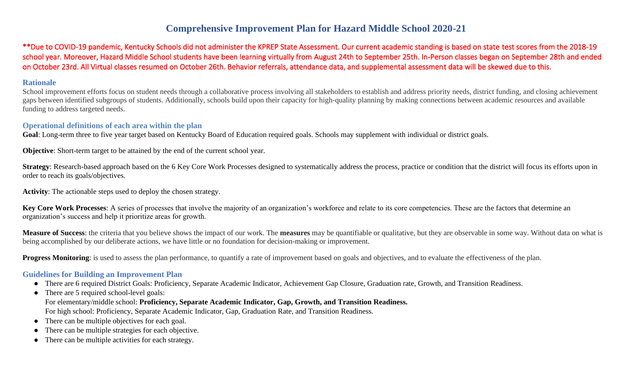## **Comprehensive Improvement Plan for Hazard Middle School 2020-21**

\*\*Due to COVID-19 pandemic, Kentucky Schools did not administer the KPREP State Assessment. Our current academic standing is based on state test scores from the 2018-19 school year. Moreover, Hazard Middle School students have been learning virtually from August 24th to September 25th. In-Person classes began on September 28th and ended on October 23rd. All Virtual classes resumed on October 26th. Behavior referrals, attendance data, and supplemental assessment data will be skewed due to this.

#### **Rationale**

School improvement efforts focus on student needs through a collaborative process involving all stakeholders to establish and address priority needs, district funding, and closing achievement gaps between identified subgroups of students. Additionally, schools build upon their capacity for high-quality planning by making connections between academic resources and available funding to address targeted needs.

#### **Operational definitions of each area within the plan**

**Goal**: Long-term three to five year target based on Kentucky Board of Education required goals. Schools may supplement with individual or district goals.

**Objective**: Short-term target to be attained by the end of the current school year.

**Strategy**: Research-based approach based on the 6 Key Core Work Processes designed to systematically address the process, practice or condition that the district will focus its efforts upon in order to reach its goals/objectives.

**Activity**: The actionable steps used to deploy the chosen strategy.

**Key Core Work Processes**: A series of processes that involve the majority of an organization's workforce and relate to its core competencies. These are the factors that determine an organization's success and help it prioritize areas for growth.

**Measure of Success**: the criteria that you believe shows the impact of our work. The **measures** may be quantifiable or qualitative, but they are observable in some way. Without data on what is being accomplished by our deliberate actions, we have little or no foundation for decision-making or improvement.

**Progress Monitoring**: is used to assess the plan performance, to quantify a rate of improvement based on goals and objectives, and to evaluate the effectiveness of the plan.

#### **Guidelines for Building an Improvement Plan**

- There are 6 required District Goals: Proficiency, Separate Academic Indicator, Achievement Gap Closure, Graduation rate, Growth, and Transition Readiness.
- There are 5 required school-level goals: For elementary/middle school: **Proficiency, Separate Academic Indicator, Gap, Growth, and Transition Readiness.** For high school: Proficiency, Separate Academic Indicator, Gap, Graduation Rate, and Transition Readiness.
- There can be multiple objectives for each goal.
- There can be multiple strategies for each objective.
- There can be multiple activities for each strategy.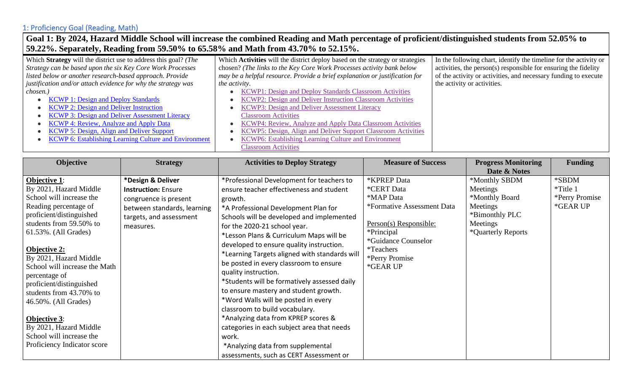### **Goal 1: By 2024, Hazard Middle School will increase the combined Reading and Math percentage of proficient/distinguished students from 52.05% to 59.22%. Separately, Reading from 59.50% to 65.58% and Math from 43.70% to 52.15%.**

| Which Strategy will the district use to address this goal? (The | Which Activities will the district deploy based on the strategy or strategies | In the following chart, identify the timeline for the activity or |
|-----------------------------------------------------------------|-------------------------------------------------------------------------------|-------------------------------------------------------------------|
| Strategy can be based upon the six Key Core Work Processes      | chosen? (The links to the Key Core Work Processes activity bank below         | activities, the person(s) responsible for ensuring the fidelity   |
| listed below or another research-based approach. Provide        | may be a helpful resource. Provide a brief explanation or justification for   | of the activity or activities, and necessary funding to execute   |
| justification and/or attach evidence for why the strategy was   | <i>the activity.</i>                                                          | the activity or activities.                                       |
| chosen.)                                                        | <b>KCWP1: Design and Deploy Standards Classroom Activities</b>                |                                                                   |
| <b>KCWP 1: Design and Deploy Standards</b>                      | KCWP2: Design and Deliver Instruction Classroom Activities                    |                                                                   |
| <b>KCWP 2: Design and Deliver Instruction</b>                   | <b>KCWP3: Design and Deliver Assessment Literacy</b>                          |                                                                   |
| <b>KCWP 3: Design and Deliver Assessment Literacy</b>           | <b>Classroom Activities</b>                                                   |                                                                   |
| <b>KCWP 4: Review, Analyze and Apply Data</b>                   | KCWP4: Review, Analyze and Apply Data Classroom Activities                    |                                                                   |
| KCWP 5: Design, Align and Deliver Support                       | KCWP5: Design, Align and Deliver Support Classroom Activities                 |                                                                   |
| <b>KCWP 6: Establishing Learning Culture and Environment</b>    | KCWP6: Establishing Learning Culture and Environment                          |                                                                   |
|                                                                 | <b>Classroom Activities</b>                                                   |                                                                   |

| Objective                                                                                                                                                                                                                                                                                                                                                                                                                                                         | <b>Strategy</b>                                                                                                                                 | <b>Activities to Deploy Strategy</b>                                                                                                                                                                                                                                                                                                                                                                                                                                                                                                                                                                                                                                                                                                                                            | <b>Measure of Success</b>                                                                                                                                                              | <b>Progress Monitoring</b>                                                                                  | <b>Funding</b>                                  |
|-------------------------------------------------------------------------------------------------------------------------------------------------------------------------------------------------------------------------------------------------------------------------------------------------------------------------------------------------------------------------------------------------------------------------------------------------------------------|-------------------------------------------------------------------------------------------------------------------------------------------------|---------------------------------------------------------------------------------------------------------------------------------------------------------------------------------------------------------------------------------------------------------------------------------------------------------------------------------------------------------------------------------------------------------------------------------------------------------------------------------------------------------------------------------------------------------------------------------------------------------------------------------------------------------------------------------------------------------------------------------------------------------------------------------|----------------------------------------------------------------------------------------------------------------------------------------------------------------------------------------|-------------------------------------------------------------------------------------------------------------|-------------------------------------------------|
|                                                                                                                                                                                                                                                                                                                                                                                                                                                                   |                                                                                                                                                 |                                                                                                                                                                                                                                                                                                                                                                                                                                                                                                                                                                                                                                                                                                                                                                                 |                                                                                                                                                                                        | Date & Notes                                                                                                |                                                 |
| <b>Objective 1:</b><br>By 2021, Hazard Middle<br>School will increase the<br>Reading percentage of<br>proficient/distinguished<br>students from 59.50% to<br>61.53%. (All Grades)<br>Objective 2:<br>By 2021, Hazard Middle<br>School will increase the Math<br>percentage of<br>proficient/distinguished<br>students from 43.70% to<br>46.50%. (All Grades)<br>Objective 3:<br>By 2021, Hazard Middle<br>School will increase the<br>Proficiency Indicator score | *Design & Deliver<br><b>Instruction: Ensure</b><br>congruence is present<br>between standards, learning<br>targets, and assessment<br>measures. | *Professional Development for teachers to<br>ensure teacher effectiveness and student<br>growth.<br>*A Professional Development Plan for<br>Schools will be developed and implemented<br>for the 2020-21 school year.<br>*Lesson Plans & Curriculum Maps will be<br>developed to ensure quality instruction.<br>*Learning Targets aligned with standards will<br>be posted in every classroom to ensure<br>quality instruction.<br>*Students will be formatively assessed daily<br>to ensure mastery and student growth.<br>*Word Walls will be posted in every<br>classroom to build vocabulary.<br>*Analyzing data from KPREP scores &<br>categories in each subject area that needs<br>work.<br>*Analyzing data from supplemental<br>assessments, such as CERT Assessment or | *KPREP Data<br>*CERT Data<br>*MAP Data<br>*Formative Assessment Data<br>Person(s) Responsible:<br>*Principal<br>*Guidance Counselor<br><i>*</i> Teachers<br>*Perry Promise<br>*GEAR UP | *Monthly SBDM<br>Meetings<br>*Monthly Board<br>Meetings<br>*Bimonthly PLC<br>Meetings<br>*Quarterly Reports | *SBDM<br>*Title 1<br>*Perry Promise<br>*GEAR UP |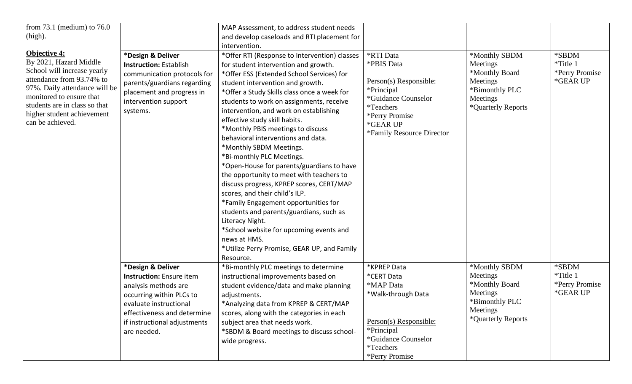| from $73.1$ (medium) to $76.0$<br>(high).<br><b>Objective 4:</b><br>By 2021, Hazard Middle                                                                                                               | *Design & Deliver                                                                                                                                                                                                | MAP Assessment, to address student needs<br>and develop caseloads and RTI placement for<br>intervention.<br>*Offer RTI (Response to Intervention) classes                                                                                                                                                                                                                                                                                                                                                                                                                                                                                                                                                                                                                                                                          | *RTI Data<br>*PBIS Data                                                                                                                                            | *Monthly SBDM<br>Meetings                                                                                   | *SBDM<br>*Title 1                               |
|----------------------------------------------------------------------------------------------------------------------------------------------------------------------------------------------------------|------------------------------------------------------------------------------------------------------------------------------------------------------------------------------------------------------------------|------------------------------------------------------------------------------------------------------------------------------------------------------------------------------------------------------------------------------------------------------------------------------------------------------------------------------------------------------------------------------------------------------------------------------------------------------------------------------------------------------------------------------------------------------------------------------------------------------------------------------------------------------------------------------------------------------------------------------------------------------------------------------------------------------------------------------------|--------------------------------------------------------------------------------------------------------------------------------------------------------------------|-------------------------------------------------------------------------------------------------------------|-------------------------------------------------|
| School will increase yearly<br>attendance from 93.74% to<br>97%. Daily attendance will be<br>monitored to ensure that<br>students are in class so that<br>higher student achievement<br>can be achieved. | <b>Instruction: Establish</b><br>communication protocols for<br>parents/guardians regarding<br>placement and progress in<br>intervention support<br>systems.                                                     | for student intervention and growth.<br>*Offer ESS (Extended School Services) for<br>student intervention and growth.<br>*Offer a Study Skills class once a week for<br>students to work on assignments, receive<br>intervention, and work on establishing<br>effective study skill habits.<br>*Monthly PBIS meetings to discuss<br>behavioral interventions and data.<br>*Monthly SBDM Meetings.<br>*Bi-monthly PLC Meetings.<br>*Open-House for parents/guardians to have<br>the opportunity to meet with teachers to<br>discuss progress, KPREP scores, CERT/MAP<br>scores, and their child's ILP.<br>*Family Engagement opportunities for<br>students and parents/guardians, such as<br>Literacy Night.<br>*School website for upcoming events and<br>news at HMS.<br>*Utilize Perry Promise, GEAR UP, and Family<br>Resource. | Person(s) Responsible:<br>*Principal<br>*Guidance Counselor<br><i>*</i> Teachers<br>*Perry Promise<br>*GEAR UP<br>*Family Resource Director                        | *Monthly Board<br>Meetings<br>*Bimonthly PLC<br>Meetings<br>*Quarterly Reports                              | *Perry Promise<br>*GEAR UP                      |
|                                                                                                                                                                                                          | *Design & Deliver<br><b>Instruction:</b> Ensure item<br>analysis methods are<br>occurring within PLCs to<br>evaluate instructional<br>effectiveness and determine<br>if instructional adjustments<br>are needed. | *Bi-monthly PLC meetings to determine<br>instructional improvements based on<br>student evidence/data and make planning<br>adjustments.<br>*Analyzing data from KPREP & CERT/MAP<br>scores, along with the categories in each<br>subject area that needs work.<br>*SBDM & Board meetings to discuss school-<br>wide progress.                                                                                                                                                                                                                                                                                                                                                                                                                                                                                                      | *KPREP Data<br>*CERT Data<br>*MAP Data<br>*Walk-through Data<br>Person(s) Responsible:<br>*Principal<br>*Guidance Counselor<br><i>*</i> Teachers<br>*Perry Promise | *Monthly SBDM<br>Meetings<br>*Monthly Board<br>Meetings<br>*Bimonthly PLC<br>Meetings<br>*Quarterly Reports | *SBDM<br>*Title 1<br>*Perry Promise<br>*GEAR UP |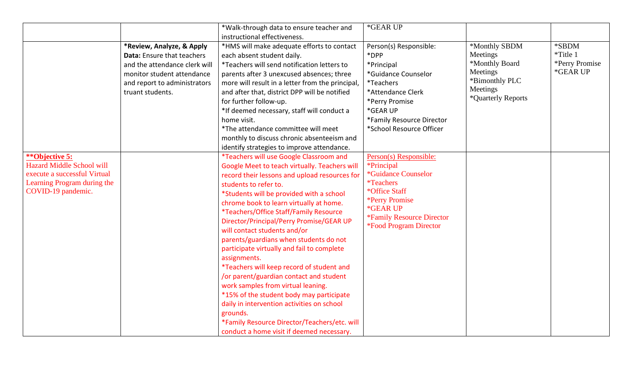|                                  |                               | *Walk-through data to ensure teacher and         | *GEAR UP                                |                    |                |
|----------------------------------|-------------------------------|--------------------------------------------------|-----------------------------------------|--------------------|----------------|
|                                  |                               | instructional effectiveness.                     |                                         |                    |                |
|                                  | *Review, Analyze, & Apply     | *HMS will make adequate efforts to contact       | Person(s) Responsible:                  | *Monthly SBDM      | *SBDM          |
|                                  | Data: Ensure that teachers    | each absent student daily.                       | *DPP                                    | Meetings           | *Title 1       |
|                                  | and the attendance clerk will | *Teachers will send notification letters to      | *Principal                              | *Monthly Board     | *Perry Promise |
|                                  | monitor student attendance    | parents after 3 unexcused absences; three        | *Guidance Counselor                     | Meetings           | *GEAR UP       |
|                                  | and report to administrators  | more will result in a letter from the principal, | <i>*</i> Teachers                       | *Bimonthly PLC     |                |
|                                  | truant students.              | and after that, district DPP will be notified    | *Attendance Clerk                       | Meetings           |                |
|                                  |                               | for further follow-up.                           | *Perry Promise                          | *Quarterly Reports |                |
|                                  |                               | *If deemed necessary, staff will conduct a       | *GEAR UP                                |                    |                |
|                                  |                               | home visit.                                      | *Family Resource Director               |                    |                |
|                                  |                               | *The attendance committee will meet              | *School Resource Officer                |                    |                |
|                                  |                               | monthly to discuss chronic absenteeism and       |                                         |                    |                |
|                                  |                               | identify strategies to improve attendance.       |                                         |                    |                |
| **Objective 5:                   |                               | *Teachers will use Google Classroom and          | Person(s) Responsible:                  |                    |                |
| <b>Hazard Middle School will</b> |                               | Google Meet to teach virtually. Teachers will    | *Principal                              |                    |                |
| execute a successful Virtual     |                               | record their lessons and upload resources for    | *Guidance Counselor                     |                    |                |
| Learning Program during the      |                               | students to refer to.                            | <i>*Teachers</i>                        |                    |                |
| COVID-19 pandemic.               |                               | *Students will be provided with a school         | *Office Staff                           |                    |                |
|                                  |                               | chrome book to learn virtually at home.          | *Perry Promise                          |                    |                |
|                                  |                               | *Teachers/Office Staff/Family Resource           | *GEAR UP                                |                    |                |
|                                  |                               | Director/Principal/Perry Promise/GEAR UP         | <i><b>*Family Resource Director</b></i> |                    |                |
|                                  |                               | will contact students and/or                     | <i><b>*Food Program Director</b></i>    |                    |                |
|                                  |                               | parents/guardians when students do not           |                                         |                    |                |
|                                  |                               | participate virtually and fail to complete       |                                         |                    |                |
|                                  |                               | assignments.                                     |                                         |                    |                |
|                                  |                               | *Teachers will keep record of student and        |                                         |                    |                |
|                                  |                               | /or parent/guardian contact and student          |                                         |                    |                |
|                                  |                               | work samples from virtual leaning.               |                                         |                    |                |
|                                  |                               | *15% of the student body may participate         |                                         |                    |                |
|                                  |                               | daily in intervention activities on school       |                                         |                    |                |
|                                  |                               |                                                  |                                         |                    |                |
|                                  |                               | grounds.                                         |                                         |                    |                |
|                                  |                               | *Family Resource Director/Teachers/etc. will     |                                         |                    |                |
|                                  |                               | conduct a home visit if deemed necessary.        |                                         |                    |                |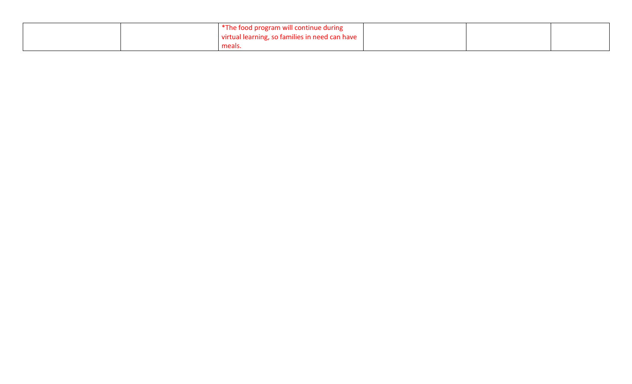| *The food program will continue during         |  |
|------------------------------------------------|--|
| virtual learning, so families in need can have |  |
| meals.                                         |  |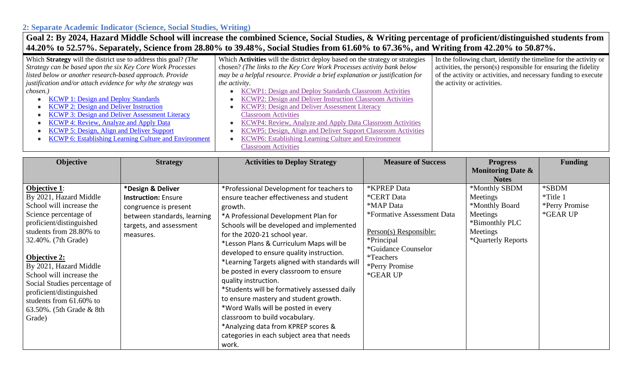## **2: Separate Academic Indicator (Science, Social Studies, Writing) Goal 2: By 2024, Hazard Middle School will increase the combined Science, Social Studies, & Writing percentage of proficient/distinguished students from**

| 44.20% to 52.57%. Separately, Science from 28.80% to 39.48%, Social Studies from 61.60% to 67.36%, and Writing from 42.20% to 50.87%. |                                                                               |                                                                   |  |  |  |
|---------------------------------------------------------------------------------------------------------------------------------------|-------------------------------------------------------------------------------|-------------------------------------------------------------------|--|--|--|
| Which Strategy will the district use to address this goal? (The                                                                       | Which Activities will the district deploy based on the strategy or strategies | In the following chart, identify the timeline for the activity or |  |  |  |
| Strategy can be based upon the six Key Core Work Processes                                                                            | chosen? (The links to the Key Core Work Processes activity bank below         | activities, the person(s) responsible for ensuring the fidelity   |  |  |  |
| listed below or another research-based approach. Provide                                                                              | may be a helpful resource. Provide a brief explanation or justification for   | of the activity or activities, and necessary funding to execute   |  |  |  |
| justification and/or attach evidence for why the strategy was                                                                         | <i>the activity.</i>                                                          | the activity or activities.                                       |  |  |  |
| chosen.)                                                                                                                              | KCWP1: Design and Deploy Standards Classroom Activities                       |                                                                   |  |  |  |
| <b>KCWP 1: Design and Deploy Standards</b>                                                                                            | KCWP2: Design and Deliver Instruction Classroom Activities                    |                                                                   |  |  |  |
| <b>KCWP 2: Design and Deliver Instruction</b>                                                                                         | KCWP3: Design and Deliver Assessment Literacy                                 |                                                                   |  |  |  |
| <b>KCWP 3: Design and Deliver Assessment Literacy</b>                                                                                 | <b>Classroom Activities</b>                                                   |                                                                   |  |  |  |
| <b>KCWP 4: Review, Analyze and Apply Data</b>                                                                                         | <b>KCWP4: Review, Analyze and Apply Data Classroom Activities</b>             |                                                                   |  |  |  |
| <b>KCWP 5: Design, Align and Deliver Support</b>                                                                                      | KCWP5: Design, Align and Deliver Support Classroom Activities                 |                                                                   |  |  |  |
| <b>KCWP 6: Establishing Learning Culture and Environment</b>                                                                          | KCWP6: Establishing Learning Culture and Environment                          |                                                                   |  |  |  |
|                                                                                                                                       | <b>Classroom Activities</b>                                                   |                                                                   |  |  |  |

| Objective                                                                                                                                                                                                                                                                                                                                                                                  | <b>Strategy</b>                                                                                                                                 | <b>Activities to Deploy Strategy</b>                                                                                                                                                                                                                                                                                                                                                                                                                                                                                                                                                                                                                                                            | <b>Measure of Success</b>                                                                                                                                                                            | <b>Progress</b><br><b>Monitoring Date &amp;</b><br><b>Notes</b>                                             | <b>Funding</b>                                  |
|--------------------------------------------------------------------------------------------------------------------------------------------------------------------------------------------------------------------------------------------------------------------------------------------------------------------------------------------------------------------------------------------|-------------------------------------------------------------------------------------------------------------------------------------------------|-------------------------------------------------------------------------------------------------------------------------------------------------------------------------------------------------------------------------------------------------------------------------------------------------------------------------------------------------------------------------------------------------------------------------------------------------------------------------------------------------------------------------------------------------------------------------------------------------------------------------------------------------------------------------------------------------|------------------------------------------------------------------------------------------------------------------------------------------------------------------------------------------------------|-------------------------------------------------------------------------------------------------------------|-------------------------------------------------|
| <b>Objective 1:</b><br>By 2021, Hazard Middle<br>School will increase the<br>Science percentage of<br>proficient/distinguished<br>students from 28.80% to<br>32.40%. (7th Grade)<br><b>Objective 2:</b><br>By 2021, Hazard Middle<br>School will increase the<br>Social Studies percentage of<br>proficient/distinguished<br>students from 61.60% to<br>63.50%. (5th Grade & 8th<br>Grade) | *Design & Deliver<br><b>Instruction: Ensure</b><br>congruence is present<br>between standards, learning<br>targets, and assessment<br>measures. | *Professional Development for teachers to<br>ensure teacher effectiveness and student<br>growth.<br>*A Professional Development Plan for<br>Schools will be developed and implemented<br>for the 2020-21 school year.<br>*Lesson Plans & Curriculum Maps will be<br>developed to ensure quality instruction.<br>*Learning Targets aligned with standards will<br>be posted in every classroom to ensure<br>quality instruction.<br>*Students will be formatively assessed daily<br>to ensure mastery and student growth.<br>*Word Walls will be posted in every<br>classroom to build vocabulary.<br>*Analyzing data from KPREP scores &<br>categories in each subject area that needs<br>work. | *KPREP Data<br><i><b>*CERT Data</b></i><br>*MAP Data<br>*Formative Assessment Data<br>Person(s) Responsible:<br>*Principal<br>*Guidance Counselor<br><i>*</i> Teachers<br>*Perry Promise<br>*GEAR UP | *Monthly SBDM<br>Meetings<br>*Monthly Board<br>Meetings<br>*Bimonthly PLC<br>Meetings<br>*Quarterly Reports | *SBDM<br>*Title 1<br>*Perry Promise<br>*GEAR UP |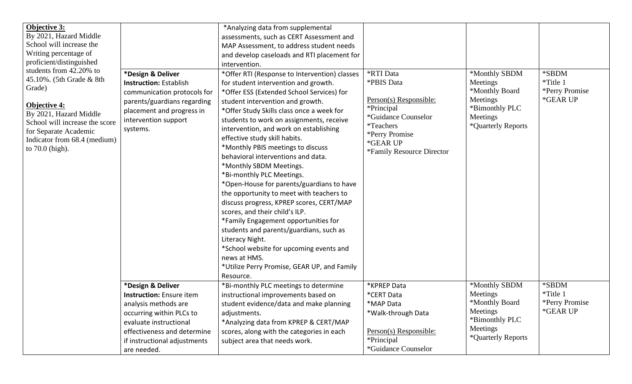| Objective 3:                                          |                                 | *Analyzing data from supplemental             |                           |                            |                |
|-------------------------------------------------------|---------------------------------|-----------------------------------------------|---------------------------|----------------------------|----------------|
| By 2021, Hazard Middle                                |                                 | assessments, such as CERT Assessment and      |                           |                            |                |
| School will increase the                              |                                 | MAP Assessment, to address student needs      |                           |                            |                |
| Writing percentage of                                 |                                 | and develop caseloads and RTI placement for   |                           |                            |                |
| proficient/distinguished                              |                                 | intervention.                                 |                           |                            |                |
| students from 42.20% to                               | *Design & Deliver               | *Offer RTI (Response to Intervention) classes | <b>*RTI Data</b>          | *Monthly SBDM              | *SBDM          |
| 45.10%. (5th Grade & 8th                              | <b>Instruction: Establish</b>   | for student intervention and growth.          | *PBIS Data                | Meetings                   | *Title 1       |
| Grade)                                                | communication protocols for     | *Offer ESS (Extended School Services) for     |                           | *Monthly Board             | *Perry Promise |
|                                                       | parents/guardians regarding     | student intervention and growth.              | Person(s) Responsible:    | Meetings                   | *GEAR UP       |
| Objective 4:                                          | placement and progress in       | *Offer Study Skills class once a week for     | *Principal                | *Bimonthly PLC             |                |
| By 2021, Hazard Middle                                | intervention support            | students to work on assignments, receive      | *Guidance Counselor       | Meetings                   |                |
| School will increase the score                        | systems.                        | intervention, and work on establishing        | <i>*</i> Teachers         | *Quarterly Reports         |                |
| for Separate Academic<br>Indicator from 68.4 (medium) |                                 | effective study skill habits.                 | *Perry Promise            |                            |                |
| to $70.0$ (high).                                     |                                 | *Monthly PBIS meetings to discuss             | *GEAR UP                  |                            |                |
|                                                       |                                 | behavioral interventions and data.            | *Family Resource Director |                            |                |
|                                                       |                                 | *Monthly SBDM Meetings.                       |                           |                            |                |
|                                                       |                                 | *Bi-monthly PLC Meetings.                     |                           |                            |                |
|                                                       |                                 | *Open-House for parents/guardians to have     |                           |                            |                |
|                                                       |                                 | the opportunity to meet with teachers to      |                           |                            |                |
|                                                       |                                 | discuss progress, KPREP scores, CERT/MAP      |                           |                            |                |
|                                                       |                                 | scores, and their child's ILP.                |                           |                            |                |
|                                                       |                                 | *Family Engagement opportunities for          |                           |                            |                |
|                                                       |                                 |                                               |                           |                            |                |
|                                                       |                                 | students and parents/guardians, such as       |                           |                            |                |
|                                                       |                                 | Literacy Night.                               |                           |                            |                |
|                                                       |                                 | *School website for upcoming events and       |                           |                            |                |
|                                                       |                                 | news at HMS.                                  |                           |                            |                |
|                                                       |                                 | *Utilize Perry Promise, GEAR UP, and Family   |                           |                            |                |
|                                                       |                                 | Resource.                                     |                           |                            | *SBDM          |
|                                                       | *Design & Deliver               | *Bi-monthly PLC meetings to determine         | *KPREP Data               | *Monthly SBDM              | *Title 1       |
|                                                       | <b>Instruction:</b> Ensure item | instructional improvements based on           | *CERT Data                | Meetings<br>*Monthly Board | *Perry Promise |
|                                                       | analysis methods are            | student evidence/data and make planning       | *MAP Data                 | Meetings                   | *GEAR UP       |
|                                                       | occurring within PLCs to        | adjustments.                                  | *Walk-through Data        | *Bimonthly PLC             |                |
|                                                       | evaluate instructional          | *Analyzing data from KPREP & CERT/MAP         |                           | Meetings                   |                |
|                                                       | effectiveness and determine     | scores, along with the categories in each     | Person(s) Responsible:    | *Quarterly Reports         |                |
|                                                       | if instructional adjustments    | subject area that needs work.                 | *Principal                |                            |                |
|                                                       | are needed.                     |                                               | *Guidance Counselor       |                            |                |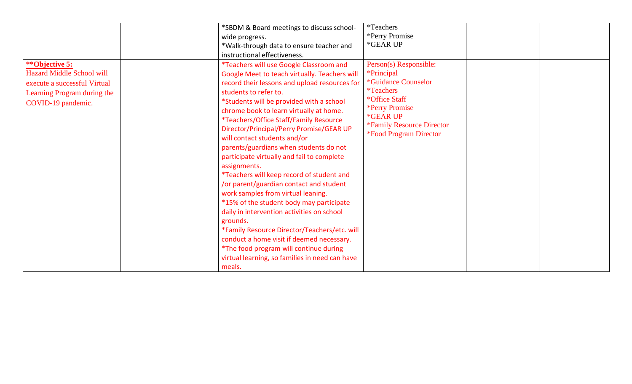|                                  | *SBDM & Board meetings to discuss school-      | <i>*</i> Teachers                                                        |  |
|----------------------------------|------------------------------------------------|--------------------------------------------------------------------------|--|
|                                  | wide progress.                                 | *Perry Promise                                                           |  |
|                                  | *Walk-through data to ensure teacher and       | *GEAR UP                                                                 |  |
|                                  | instructional effectiveness.                   |                                                                          |  |
| **Objective 5:                   | *Teachers will use Google Classroom and        | Person(s) Responsible:                                                   |  |
| <b>Hazard Middle School will</b> | Google Meet to teach virtually. Teachers will  | *Principal                                                               |  |
| execute a successful Virtual     | record their lessons and upload resources for  | *Guidance Counselor                                                      |  |
| Learning Program during the      | students to refer to.                          | <i>*</i> Teachers                                                        |  |
| COVID-19 pandemic.               | *Students will be provided with a school       | *Office Staff                                                            |  |
|                                  | chrome book to learn virtually at home.        | *Perry Promise                                                           |  |
|                                  | *Teachers/Office Staff/Family Resource         | *GEAR UP                                                                 |  |
|                                  | Director/Principal/Perry Promise/GEAR UP       | <i>*Family Resource Director</i><br><i><b>*Food Program Director</b></i> |  |
|                                  | will contact students and/or                   |                                                                          |  |
|                                  | parents/guardians when students do not         |                                                                          |  |
|                                  | participate virtually and fail to complete     |                                                                          |  |
|                                  | assignments.                                   |                                                                          |  |
|                                  | *Teachers will keep record of student and      |                                                                          |  |
|                                  | /or parent/guardian contact and student        |                                                                          |  |
|                                  | work samples from virtual leaning.             |                                                                          |  |
|                                  | *15% of the student body may participate       |                                                                          |  |
|                                  | daily in intervention activities on school     |                                                                          |  |
|                                  | grounds.                                       |                                                                          |  |
|                                  | *Family Resource Director/Teachers/etc. will   |                                                                          |  |
|                                  | conduct a home visit if deemed necessary.      |                                                                          |  |
|                                  | *The food program will continue during         |                                                                          |  |
|                                  | virtual learning, so families in need can have |                                                                          |  |
|                                  | meals.                                         |                                                                          |  |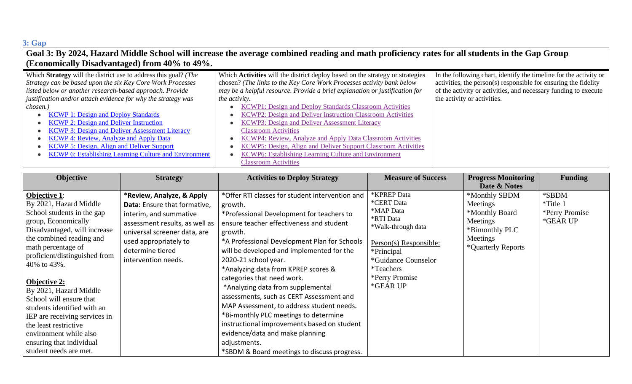# **3: Gap**

| Goal 3: By 2024, Hazard Middle School will increase the average combined reading and math proficiency rates for all students in the Gap Group |                                                                               |                                                                   |  |  |  |
|-----------------------------------------------------------------------------------------------------------------------------------------------|-------------------------------------------------------------------------------|-------------------------------------------------------------------|--|--|--|
| <b>(Economically Disadvantaged)</b> from 40% to 49%.                                                                                          |                                                                               |                                                                   |  |  |  |
| Which Strategy will the district use to address this goal? (The                                                                               | Which Activities will the district deploy based on the strategy or strategies | In the following chart, identify the timeline for the activity or |  |  |  |
| Strategy can be based upon the six Key Core Work Processes                                                                                    | chosen? (The links to the Key Core Work Processes activity bank below         | activities, the person(s) responsible for ensuring the fidelity   |  |  |  |
| listed below or another research-based approach. Provide                                                                                      | may be a helpful resource. Provide a brief explanation or justification for   | of the activity or activities, and necessary funding to execute   |  |  |  |
| justification and/or attach evidence for why the strategy was                                                                                 | the activity.                                                                 | the activity or activities.                                       |  |  |  |
| chosen.)                                                                                                                                      | KCWP1: Design and Deploy Standards Classroom Activities                       |                                                                   |  |  |  |
| <b>KCWP 1: Design and Deploy Standards</b>                                                                                                    | KCWP2: Design and Deliver Instruction Classroom Activities                    |                                                                   |  |  |  |
| <b>KCWP 2: Design and Deliver Instruction</b>                                                                                                 | KCWP3: Design and Deliver Assessment Literacy                                 |                                                                   |  |  |  |
| <b>KCWP 3: Design and Deliver Assessment Literacy</b>                                                                                         | <b>Classroom Activities</b>                                                   |                                                                   |  |  |  |
| <b>KCWP 4: Review, Analyze and Apply Data</b>                                                                                                 | KCWP4: Review, Analyze and Apply Data Classroom Activities                    |                                                                   |  |  |  |
| KCWP 5: Design, Align and Deliver Support                                                                                                     | KCWP5: Design, Align and Deliver Support Classroom Activities                 |                                                                   |  |  |  |
| <b>KCWP 6: Establishing Learning Culture and Environment</b>                                                                                  | KCWP6: Establishing Learning Culture and Environment                          |                                                                   |  |  |  |
|                                                                                                                                               | <b>Classroom Activities</b>                                                   |                                                                   |  |  |  |

| Objective                                                                                                                                                                                                                                                                                                                                                                                                                                                                                 | <b>Strategy</b>                                                                                                                                                                                                           | <b>Activities to Deploy Strategy</b>                                                                                                                                                                                                                                                                                                                                                                                                                                                                                                                                                                                                                                             | <b>Measure of Success</b>                                                                                                                                                                   | <b>Progress Monitoring</b><br>Date & Notes                                                                  | <b>Funding</b>                                  |
|-------------------------------------------------------------------------------------------------------------------------------------------------------------------------------------------------------------------------------------------------------------------------------------------------------------------------------------------------------------------------------------------------------------------------------------------------------------------------------------------|---------------------------------------------------------------------------------------------------------------------------------------------------------------------------------------------------------------------------|----------------------------------------------------------------------------------------------------------------------------------------------------------------------------------------------------------------------------------------------------------------------------------------------------------------------------------------------------------------------------------------------------------------------------------------------------------------------------------------------------------------------------------------------------------------------------------------------------------------------------------------------------------------------------------|---------------------------------------------------------------------------------------------------------------------------------------------------------------------------------------------|-------------------------------------------------------------------------------------------------------------|-------------------------------------------------|
| <b>Objective 1:</b><br>By 2021, Hazard Middle<br>School students in the gap<br>group, Economically<br>Disadvantaged, will increase<br>the combined reading and<br>math percentage of<br>proficient/distinguished from<br>40% to 43%.<br><b>Objective 2:</b><br>By 2021, Hazard Middle<br>School will ensure that<br>students identified with an<br>IEP are receiving services in<br>the least restrictive<br>environment while also<br>ensuring that individual<br>student needs are met. | *Review, Analyze, & Apply<br>Data: Ensure that formative,<br>interim, and summative<br>assessment results, as well as<br>universal screener data, are<br>used appropriately to<br>determine tiered<br>intervention needs. | *Offer RTI classes for student intervention and<br>growth.<br>*Professional Development for teachers to<br>ensure teacher effectiveness and student<br>growth.<br>*A Professional Development Plan for Schools<br>will be developed and implemented for the<br>2020-21 school year.<br>*Analyzing data from KPREP scores &<br>categories that need work.<br>*Analyzing data from supplemental<br>assessments, such as CERT Assessment and<br>MAP Assessment, to address student needs.<br>*Bi-monthly PLC meetings to determine<br>instructional improvements based on student<br>evidence/data and make planning<br>adjustments.<br>*SBDM & Board meetings to discuss progress. | *KPREP Data<br>*CERT Data<br>*MAP Data<br>*RTI Data<br>*Walk-through data<br>Person(s) Responsible:<br>*Principal<br>*Guidance Counselor<br><i>*</i> Teachers<br>*Perry Promise<br>*GEAR UP | *Monthly SBDM<br>Meetings<br>*Monthly Board<br>Meetings<br>*Bimonthly PLC<br>Meetings<br>*Quarterly Reports | *SBDM<br>*Title 1<br>*Perry Promise<br>*GEAR UP |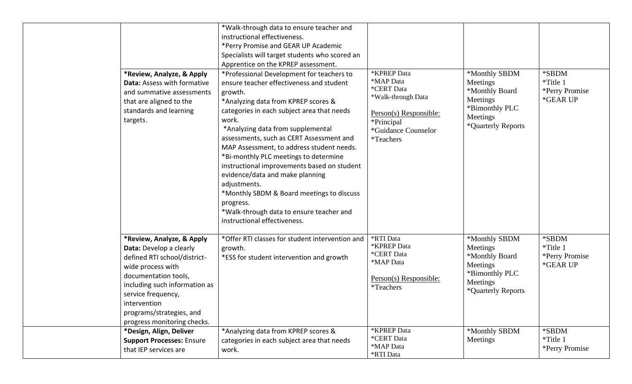|                                                                                                                                                                                                                                                                     | *Walk-through data to ensure teacher and                                                                                                                                                                                                                                                                                                                                                                                                                                                                                                                                                                      |                                                                                                                                          |                                                                                                             |                                                 |
|---------------------------------------------------------------------------------------------------------------------------------------------------------------------------------------------------------------------------------------------------------------------|---------------------------------------------------------------------------------------------------------------------------------------------------------------------------------------------------------------------------------------------------------------------------------------------------------------------------------------------------------------------------------------------------------------------------------------------------------------------------------------------------------------------------------------------------------------------------------------------------------------|------------------------------------------------------------------------------------------------------------------------------------------|-------------------------------------------------------------------------------------------------------------|-------------------------------------------------|
|                                                                                                                                                                                                                                                                     | instructional effectiveness.                                                                                                                                                                                                                                                                                                                                                                                                                                                                                                                                                                                  |                                                                                                                                          |                                                                                                             |                                                 |
|                                                                                                                                                                                                                                                                     | *Perry Promise and GEAR UP Academic                                                                                                                                                                                                                                                                                                                                                                                                                                                                                                                                                                           |                                                                                                                                          |                                                                                                             |                                                 |
|                                                                                                                                                                                                                                                                     | Specialists will target students who scored an                                                                                                                                                                                                                                                                                                                                                                                                                                                                                                                                                                |                                                                                                                                          |                                                                                                             |                                                 |
|                                                                                                                                                                                                                                                                     | Apprentice on the KPREP assessment.                                                                                                                                                                                                                                                                                                                                                                                                                                                                                                                                                                           |                                                                                                                                          |                                                                                                             |                                                 |
| *Review, Analyze, & Apply<br>Data: Assess with formative<br>and summative assessments<br>that are aligned to the<br>standards and learning<br>targets.                                                                                                              | *Professional Development for teachers to<br>ensure teacher effectiveness and student<br>growth.<br>*Analyzing data from KPREP scores &<br>categories in each subject area that needs<br>work.<br>*Analyzing data from supplemental<br>assessments, such as CERT Assessment and<br>MAP Assessment, to address student needs.<br>*Bi-monthly PLC meetings to determine<br>instructional improvements based on student<br>evidence/data and make planning<br>adjustments.<br>*Monthly SBDM & Board meetings to discuss<br>progress.<br>*Walk-through data to ensure teacher and<br>instructional effectiveness. | *KPREP Data<br>*MAP Data<br>*CERT Data<br>*Walk-through Data<br>Person(s) Responsible:<br>*Principal<br>*Guidance Counselor<br>*Teachers | *Monthly SBDM<br>Meetings<br>*Monthly Board<br>Meetings<br>*Bimonthly PLC<br>Meetings<br>*Quarterly Reports | *SBDM<br>*Title 1<br>*Perry Promise<br>*GEAR UP |
| *Review, Analyze, & Apply<br>Data: Develop a clearly<br>defined RTI school/district-<br>wide process with<br>documentation tools,<br>including such information as<br>service frequency,<br>intervention<br>programs/strategies, and<br>progress monitoring checks. | *Offer RTI classes for student intervention and<br>growth.<br>*ESS for student intervention and growth                                                                                                                                                                                                                                                                                                                                                                                                                                                                                                        | *RTI Data<br>*KPREP Data<br>*CERT Data<br>*MAP Data<br>Person(s) Responsible:<br>*Teachers                                               | *Monthly SBDM<br>Meetings<br>*Monthly Board<br>Meetings<br>*Bimonthly PLC<br>Meetings<br>*Quarterly Reports | *SBDM<br>*Title 1<br>*Perry Promise<br>*GEAR UP |
| *Design, Align, Deliver<br><b>Support Processes: Ensure</b><br>that IEP services are                                                                                                                                                                                | *Analyzing data from KPREP scores &<br>categories in each subject area that needs<br>work.                                                                                                                                                                                                                                                                                                                                                                                                                                                                                                                    | *KPREP Data<br>*CERT Data<br>*MAP Data<br>*RTI Data                                                                                      | *Monthly SBDM<br>Meetings                                                                                   | *SBDM<br>*Title 1<br>*Perry Promise             |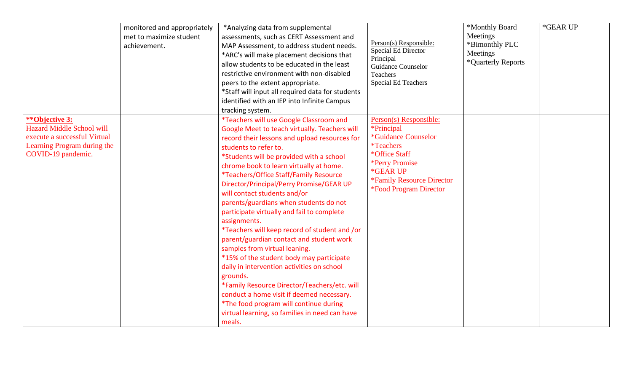|                                                                                                                                         | monitored and appropriately<br>met to maximize student<br>achievement. | *Analyzing data from supplemental<br>assessments, such as CERT Assessment and<br>MAP Assessment, to address student needs.<br>*ARC's will make placement decisions that<br>allow students to be educated in the least<br>restrictive environment with non-disabled<br>peers to the extent appropriate.<br>*Staff will input all required data for students<br>identified with an IEP into Infinite Campus<br>tracking system.                                                                                                                                                                                                                                                                                                                                                                                                                                                                                                  | Person(s) Responsible:<br>Special Ed Director<br>Principal<br><b>Guidance Counselor</b><br>Teachers<br>Special Ed Teachers                                                                                                | *Monthly Board<br>Meetings<br>*Bimonthly PLC<br>Meetings<br>*Quarterly Reports | *GEAR UP |
|-----------------------------------------------------------------------------------------------------------------------------------------|------------------------------------------------------------------------|--------------------------------------------------------------------------------------------------------------------------------------------------------------------------------------------------------------------------------------------------------------------------------------------------------------------------------------------------------------------------------------------------------------------------------------------------------------------------------------------------------------------------------------------------------------------------------------------------------------------------------------------------------------------------------------------------------------------------------------------------------------------------------------------------------------------------------------------------------------------------------------------------------------------------------|---------------------------------------------------------------------------------------------------------------------------------------------------------------------------------------------------------------------------|--------------------------------------------------------------------------------|----------|
| **Objective 3:<br><b>Hazard Middle School will</b><br>execute a successful Virtual<br>Learning Program during the<br>COVID-19 pandemic. |                                                                        | *Teachers will use Google Classroom and<br>Google Meet to teach virtually. Teachers will<br>record their lessons and upload resources for<br>students to refer to.<br>*Students will be provided with a school<br>chrome book to learn virtually at home.<br>*Teachers/Office Staff/Family Resource<br>Director/Principal/Perry Promise/GEAR UP<br>will contact students and/or<br>parents/guardians when students do not<br>participate virtually and fail to complete<br>assignments.<br>*Teachers will keep record of student and /or<br>parent/guardian contact and student work<br>samples from virtual leaning.<br>*15% of the student body may participate<br>daily in intervention activities on school<br>grounds.<br>*Family Resource Director/Teachers/etc. will<br>conduct a home visit if deemed necessary.<br>*The food program will continue during<br>virtual learning, so families in need can have<br>meals. | Person(s) Responsible:<br><i>*Principal</i><br>*Guidance Counselor<br><i>*</i> Teachers<br>*Office Staff<br>*Perry Promise<br>*GEAR UP<br><i><b>*Family Resource Director</b></i><br><i><b>*Food Program Director</b></i> |                                                                                |          |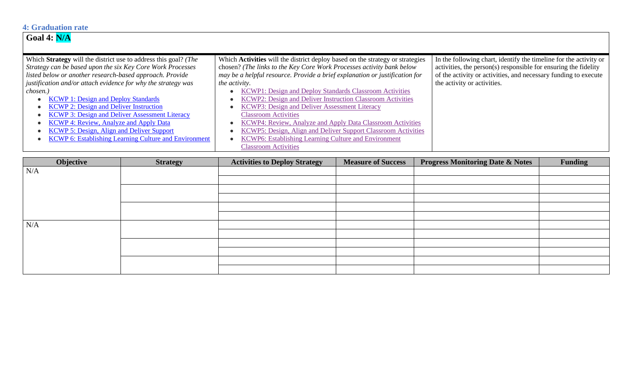### **4: Graduation rate**

# **Goal 4: N/A**

| Which Strategy will the district use to address this goal? (The | Which <b>Activities</b> will the district deploy based on the strategy or strategies | In the following chart, identify the timeline for the activity or |
|-----------------------------------------------------------------|--------------------------------------------------------------------------------------|-------------------------------------------------------------------|
| Strategy can be based upon the six Key Core Work Processes      | chosen? (The links to the Key Core Work Processes activity bank below                | activities, the person(s) responsible for ensuring the fidelity   |
| listed below or another research-based approach. Provide        | may be a helpful resource. Provide a brief explanation or justification for          | of the activity or activities, and necessary funding to execute   |
| justification and/or attach evidence for why the strategy was   | the activity.                                                                        | the activity or activities.                                       |
| chosen.)                                                        | KCWP1: Design and Deploy Standards Classroom Activities                              |                                                                   |
| <b>KCWP 1: Design and Deploy Standards</b>                      | KCWP2: Design and Deliver Instruction Classroom Activities                           |                                                                   |
| <b>KCWP 2: Design and Deliver Instruction</b>                   | KCWP3: Design and Deliver Assessment Literacy                                        |                                                                   |
| <b>KCWP 3: Design and Deliver Assessment Literacy</b>           | <b>Classroom Activities</b>                                                          |                                                                   |
| <b>KCWP 4: Review, Analyze and Apply Data</b>                   | KCWP4: Review, Analyze and Apply Data Classroom Activities                           |                                                                   |
| <b>KCWP 5: Design, Align and Deliver Support</b>                | KCWP5: Design, Align and Deliver Support Classroom Activities                        |                                                                   |
| <b>KCWP 6: Establishing Learning Culture and Environment</b>    | KCWP6: Establishing Learning Culture and Environment                                 |                                                                   |
|                                                                 | <b>Classroom Activities</b>                                                          |                                                                   |

| Objective | <b>Strategy</b> | <b>Activities to Deploy Strategy</b> | <b>Measure of Success</b> | <b>Progress Monitoring Date &amp; Notes</b> | <b>Funding</b> |
|-----------|-----------------|--------------------------------------|---------------------------|---------------------------------------------|----------------|
| N/A       |                 |                                      |                           |                                             |                |
|           |                 |                                      |                           |                                             |                |
|           |                 |                                      |                           |                                             |                |
|           |                 |                                      |                           |                                             |                |
|           |                 |                                      |                           |                                             |                |
|           |                 |                                      |                           |                                             |                |
| N/A       |                 |                                      |                           |                                             |                |
|           |                 |                                      |                           |                                             |                |
|           |                 |                                      |                           |                                             |                |
|           |                 |                                      |                           |                                             |                |
|           |                 |                                      |                           |                                             |                |
|           |                 |                                      |                           |                                             |                |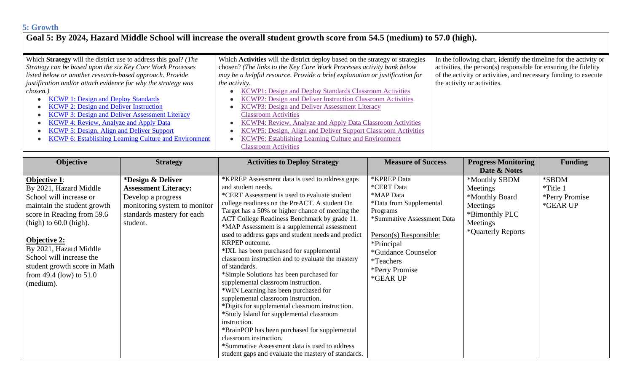### **5: Growth**

## **Goal 5: By 2024, Hazard Middle School will increase the overall student growth score from 54.5 (medium) to 57.0 (high).**

| Which <b>Strategy</b> will the district use to address this goal? ( <i>The</i> | Which <b>Activities</b> will the district deploy based on the strategy or strategies | In the following chart, identify the timeline for the activity or |
|--------------------------------------------------------------------------------|--------------------------------------------------------------------------------------|-------------------------------------------------------------------|
| Strategy can be based upon the six Key Core Work Processes                     | chosen? (The links to the Key Core Work Processes activity bank below                | activities, the person(s) responsible for ensuring the fidelity   |
| listed below or another research-based approach. Provide                       | may be a helpful resource. Provide a brief explanation or justification for          | of the activity or activities, and necessary funding to execute   |
| justification and/or attach evidence for why the strategy was                  | <i>the activity.</i>                                                                 | the activity or activities.                                       |
| chosen.)                                                                       | KCWP1: Design and Deploy Standards Classroom Activities                              |                                                                   |
| <b>KCWP 1: Design and Deploy Standards</b>                                     | KCWP2: Design and Deliver Instruction Classroom Activities                           |                                                                   |
| <b>KCWP 2: Design and Deliver Instruction</b>                                  | KCWP3: Design and Deliver Assessment Literacy                                        |                                                                   |
| <b>KCWP 3: Design and Deliver Assessment Literacy</b>                          | <b>Classroom Activities</b>                                                          |                                                                   |
| <b>KCWP 4: Review, Analyze and Apply Data</b>                                  | <b>KCWP4: Review, Analyze and Apply Data Classroom Activities</b>                    |                                                                   |
| <b>KCWP 5: Design, Align and Deliver Support</b>                               | KCWP5: Design, Align and Deliver Support Classroom Activities                        |                                                                   |
| <b>KCWP 6: Establishing Learning Culture and Environment</b>                   | KCWP6: Establishing Learning Culture and Environment                                 |                                                                   |
|                                                                                | <b>Classroom Activities</b>                                                          |                                                                   |

| *Design & Deliver<br><b>Objective 1:</b><br><b>Assessment Literacy:</b><br>By 2021, Hazard Middle<br>School will increase or<br>Develop a progress<br>maintain the student growth<br>monitoring system to monitor         | *KPREP Assessment data is used to address gaps                                                                                                                                                                                                                                                                                                                                                                                                                                                                                                                                                                                                                                                                                                                                                                                    | <b>KPREP Data</b>                                                                                                                                                                                              | Date & Notes                                                                                                |                                                 |
|---------------------------------------------------------------------------------------------------------------------------------------------------------------------------------------------------------------------------|-----------------------------------------------------------------------------------------------------------------------------------------------------------------------------------------------------------------------------------------------------------------------------------------------------------------------------------------------------------------------------------------------------------------------------------------------------------------------------------------------------------------------------------------------------------------------------------------------------------------------------------------------------------------------------------------------------------------------------------------------------------------------------------------------------------------------------------|----------------------------------------------------------------------------------------------------------------------------------------------------------------------------------------------------------------|-------------------------------------------------------------------------------------------------------------|-------------------------------------------------|
|                                                                                                                                                                                                                           |                                                                                                                                                                                                                                                                                                                                                                                                                                                                                                                                                                                                                                                                                                                                                                                                                                   |                                                                                                                                                                                                                |                                                                                                             |                                                 |
| score in Reading from 59.6<br>$(high)$ to 60.0 (high).<br>student.<br><b>Objective 2:</b><br>By 2021, Hazard Middle<br>School will increase the<br>student growth score in Math<br>from 49.4 (low) to $51.0$<br>(medium). | and student needs.<br>*CERT Assessment is used to evaluate student<br>college readiness on the PreACT. A student On<br>Target has a 50% or higher chance of meeting the<br>standards mastery for each<br>ACT College Readiness Benchmark by grade 11.<br>*MAP Assessment is a supplemental assessment<br>used to address gaps and student needs and predict<br>KRPEP outcome.<br>*IXL has been purchased for supplemental<br>classroom instruction and to evaluate the mastery<br>of standards.<br>*Simple Solutions has been purchased for<br>supplemental classroom instruction.<br>*WIN Learning has been purchased for<br>supplemental classroom instruction.<br>*Digits for supplemental classroom instruction.<br>*Study Island for supplemental classroom<br>instruction.<br>*BrainPOP has been purchased for supplemental | *CERT Data<br>*MAP Data<br>*Data from Supplemental<br>Programs<br>*Summative Assessment Data<br>Person(s) Responsible:<br>*Principal<br>*Guidance Counselor<br><i>*</i> Teachers<br>*Perry Promise<br>*GEAR UP | *Monthly SBDM<br>Meetings<br>*Monthly Board<br>Meetings<br>*Bimonthly PLC<br>Meetings<br>*Quarterly Reports | *SBDM<br>*Title 1<br>*Perry Promise<br>*GEAR UP |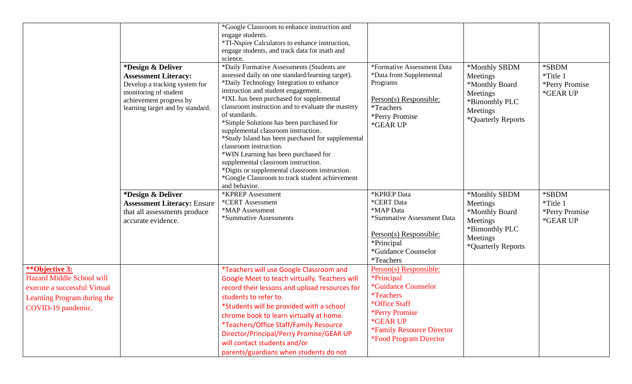|                                                                                                                                         | *Design & Deliver<br><b>Assessment Literacy:</b><br>Develop a tracking system for<br>monitoring of student<br>achievement progress by<br>learning target and by standard. | *Google Classroom to enhance instruction and<br>engage students.<br>*TI-Nspire Calculators to enhance instruction,<br>engage students, and track data for math and<br>science.<br>*Daily Formative Assessments (Students are<br>assessed daily on one standard/learning target).<br>*Daily Technology Integration to enhance<br>instruction and student engagement.<br>*IXL has been purchased for supplemental<br>classroom instruction and to evaluate the mastery<br>of standards.<br>*Simple Solutions has been purchased for<br>supplemental classroom instruction.<br>*Study Island has been purchased for supplemental<br>classroom instruction.<br>*WIN Learning has been purchased for<br>supplemental classroom instruction.<br>*Digits or supplemental classroom instruction.<br>*Google Classroom to track student achievement<br>and behavior. | *Formative Assessment Data<br>*Data from Supplemental<br>Programs<br>Person(s) Responsible:<br>*Teachers<br>*Perry Promise<br>*GEAR UP                                                                                   | *Monthly SBDM<br>Meetings<br>*Monthly Board<br>Meetings<br>*Bimonthly PLC<br>Meetings<br>*Quarterly Reports | *SBDM<br>*Title 1<br>*Perry Promise<br>*GEAR UP |
|-----------------------------------------------------------------------------------------------------------------------------------------|---------------------------------------------------------------------------------------------------------------------------------------------------------------------------|-------------------------------------------------------------------------------------------------------------------------------------------------------------------------------------------------------------------------------------------------------------------------------------------------------------------------------------------------------------------------------------------------------------------------------------------------------------------------------------------------------------------------------------------------------------------------------------------------------------------------------------------------------------------------------------------------------------------------------------------------------------------------------------------------------------------------------------------------------------|--------------------------------------------------------------------------------------------------------------------------------------------------------------------------------------------------------------------------|-------------------------------------------------------------------------------------------------------------|-------------------------------------------------|
|                                                                                                                                         | *Design & Deliver<br><b>Assessment Literacy: Ensure</b><br>that all assessments produce<br>accurate evidence.                                                             | *KPREP Assessment<br>*CERT Assessment<br>*MAP Assessment<br>*Summative Assessments                                                                                                                                                                                                                                                                                                                                                                                                                                                                                                                                                                                                                                                                                                                                                                          | *KPREP Data<br>*CERT Data<br>*MAP Data<br>*Summative Assessment Data<br>Person(s) Responsible:<br>*Principal<br>*Guidance Counselor<br>*Teachers                                                                         | *Monthly SBDM<br>Meetings<br>*Monthly Board<br>Meetings<br>*Bimonthly PLC<br>Meetings<br>*Quarterly Reports | *SBDM<br>*Title 1<br>*Perry Promise<br>*GEAR UP |
| **Objective 3:<br><b>Hazard Middle School will</b><br>execute a successful Virtual<br>Learning Program during the<br>COVID-19 pandemic. |                                                                                                                                                                           | *Teachers will use Google Classroom and<br>Google Meet to teach virtually. Teachers will<br>record their lessons and upload resources for<br>students to refer to.<br>*Students will be provided with a school<br>chrome book to learn virtually at home.<br>*Teachers/Office Staff/Family Resource<br>Director/Principal/Perry Promise/GEAR UP<br>will contact students and/or<br>parents/guardians when students do not                                                                                                                                                                                                                                                                                                                                                                                                                                   | Person(s) Responsible:<br><i>*Principal</i><br><i><b>*Guidance Counselor</b></i><br><i>*Teachers</i><br>*Office Staff<br>*Perry Promise<br>*GEAR UP<br>*Family Resource Director<br><i><b>*Food Program Director</b></i> |                                                                                                             |                                                 |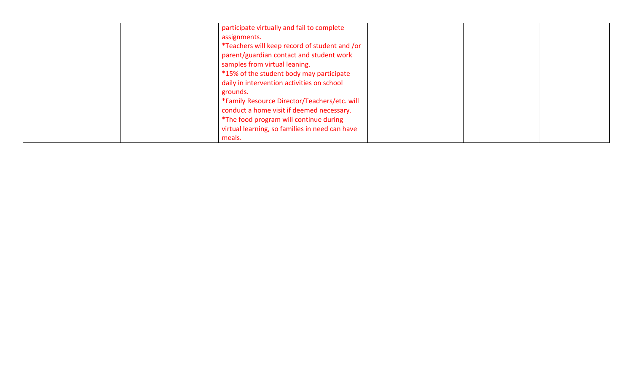| participate virtually and fail to complete     |  |  |
|------------------------------------------------|--|--|
| assignments.                                   |  |  |
| *Teachers will keep record of student and /or  |  |  |
| parent/guardian contact and student work       |  |  |
| samples from virtual leaning.                  |  |  |
| *15% of the student body may participate       |  |  |
| daily in intervention activities on school     |  |  |
| grounds.                                       |  |  |
| *Family Resource Director/Teachers/etc. will   |  |  |
| conduct a home visit if deemed necessary.      |  |  |
| *The food program will continue during         |  |  |
| virtual learning, so families in need can have |  |  |
| meals.                                         |  |  |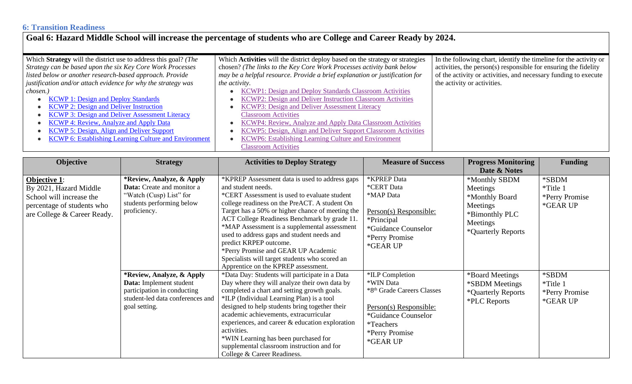### **6: Transition Readiness**

## **Goal 6: Hazard Middle School will increase the percentage of students who are College and Career Ready by 2024.**

| Which Strategy will the district use to address this goal? (The | Which <b>Activities</b> will the district deploy based on the strategy or strategies | In the following chart, identify the timeline for the activity or |
|-----------------------------------------------------------------|--------------------------------------------------------------------------------------|-------------------------------------------------------------------|
| Strategy can be based upon the six Key Core Work Processes      | chosen? (The links to the Key Core Work Processes activity bank below                | activities, the person(s) responsible for ensuring the fidelity   |
| listed below or another research-based approach. Provide        | may be a helpful resource. Provide a brief explanation or justification for          | of the activity or activities, and necessary funding to execute   |
| justification and/or attach evidence for why the strategy was   | the activity.                                                                        | the activity or activities.                                       |
| chosen.)                                                        | KCWP1: Design and Deploy Standards Classroom Activities                              |                                                                   |
| <b>KCWP 1: Design and Deploy Standards</b>                      | KCWP2: Design and Deliver Instruction Classroom Activities                           |                                                                   |
| <b>KCWP 2: Design and Deliver Instruction</b>                   | KCWP3: Design and Deliver Assessment Literacy                                        |                                                                   |
| <b>KCWP 3: Design and Deliver Assessment Literacy</b>           | <b>Classroom Activities</b>                                                          |                                                                   |
| <b>KCWP 4: Review, Analyze and Apply Data</b>                   | <b>KCWP4: Review, Analyze and Apply Data Classroom Activities</b>                    |                                                                   |
| <b>KCWP 5: Design, Align and Deliver Support</b>                | <b>KCWP5: Design, Align and Deliver Support Classroom Activities</b>                 |                                                                   |
| <b>KCWP 6: Establishing Learning Culture and Environment</b>    | KCWP6: Establishing Learning Culture and Environment                                 |                                                                   |
|                                                                 | <b>Classroom Activities</b>                                                          |                                                                   |

| Objective                                                                                                                              | <b>Strategy</b>                                                                                                                          | <b>Activities to Deploy Strategy</b>                                                                                                                                                                                                                                                                                                                                                                                                                                                                                             | <b>Measure of Success</b>                                                                                                                                                  | <b>Progress Monitoring</b>                                                                                  | <b>Funding</b>                                  |
|----------------------------------------------------------------------------------------------------------------------------------------|------------------------------------------------------------------------------------------------------------------------------------------|----------------------------------------------------------------------------------------------------------------------------------------------------------------------------------------------------------------------------------------------------------------------------------------------------------------------------------------------------------------------------------------------------------------------------------------------------------------------------------------------------------------------------------|----------------------------------------------------------------------------------------------------------------------------------------------------------------------------|-------------------------------------------------------------------------------------------------------------|-------------------------------------------------|
|                                                                                                                                        |                                                                                                                                          |                                                                                                                                                                                                                                                                                                                                                                                                                                                                                                                                  |                                                                                                                                                                            | Date & Notes                                                                                                |                                                 |
| <b>Objective 1:</b><br>By 2021, Hazard Middle<br>School will increase the<br>percentage of students who<br>are College & Career Ready. | *Review, Analyze, & Apply<br>Data: Create and monitor a<br>"Watch (Cusp) List" for<br>students performing below<br>proficiency.          | KPREP Assessment data is used to address gaps<br>and student needs.<br>*CERT Assessment is used to evaluate student<br>college readiness on the PreACT. A student On<br>Target has a 50% or higher chance of meeting the<br>ACT College Readiness Benchmark by grade 11.<br>*MAP Assessment is a supplemental assessment<br>used to address gaps and student needs and<br>predict KRPEP outcome.<br>*Perry Promise and GEAR UP Academic<br>Specialists will target students who scored an<br>Apprentice on the KPREP assessment. | <b>*KPREP</b> Data<br>*CERT Data<br>*MAP Data<br>Person(s) Responsible:<br>*Principal<br>*Guidance Counselor<br>*Perry Promise<br>*GEAR UP                                 | *Monthly SBDM<br>Meetings<br>*Monthly Board<br>Meetings<br>*Bimonthly PLC<br>Meetings<br>*Quarterly Reports | *SBDM<br>*Title 1<br>*Perry Promise<br>*GEAR UP |
|                                                                                                                                        | *Review, Analyze, & Apply<br>Data: Implement student<br>participation in conducting<br>student-led data conferences and<br>goal setting. | *Data Day: Students will participate in a Data<br>Day where they will analyze their own data by<br>completed a chart and setting growth goals.<br>*ILP (Individual Learning Plan) is a tool<br>designed to help students bring together their<br>academic achievements, extracurricular<br>experiences, and career $\&$ education exploration<br>activities.<br>*WIN Learning has been purchased for<br>supplemental classroom instruction and for<br>College & Career Readiness.                                                | *ILP Completion<br>*WIN Data<br>*8 <sup>th</sup> Grade Careers Classes<br>Person(s) Responsible:<br>*Guidance Counselor<br><i>*</i> Teachers<br>*Perry Promise<br>*GEAR UP | *Board Meetings<br><i><b>*SBDM</b></i> Meetings<br>*Quarterly Reports<br><i><b>*PLC Reports</b></i>         | *SBDM<br>*Title 1<br>*Perry Promise<br>*GEAR UP |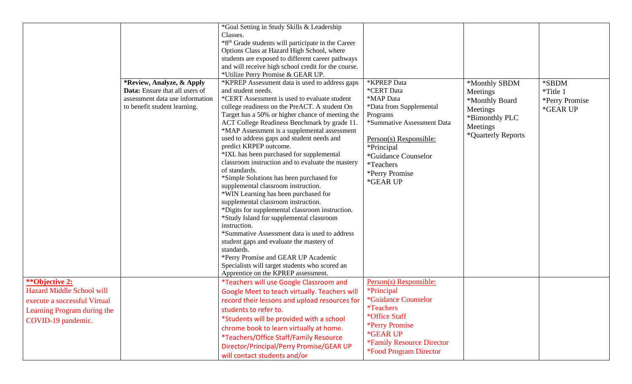| <i>**</i> Objective 2:           | *Review, Analyze, & Apply<br>Data: Ensure that all users of<br>assessment data use information<br>to benefit student learning. | *Goal Setting in Study Skills & Leadership<br>Classes.<br>*8 <sup>th</sup> Grade students will participate in the Career<br>Options Class at Hazard High School, where<br>students are exposed to different career pathways<br>and will receive high school credit for the course.<br>*Utilize Perry Promise & GEAR UP.<br>*KPREP Assessment data is used to address gaps<br>and student needs.<br>*CERT Assessment is used to evaluate student<br>college readiness on the PreACT. A student On<br>Target has a 50% or higher chance of meeting the<br>ACT College Readiness Benchmark by grade 11.<br>*MAP Assessment is a supplemental assessment<br>used to address gaps and student needs and<br>predict KRPEP outcome.<br>*IXL has been purchased for supplemental<br>classroom instruction and to evaluate the mastery<br>of standards.<br>*Simple Solutions has been purchased for<br>supplemental classroom instruction.<br>*WIN Learning has been purchased for<br>supplemental classroom instruction.<br>*Digits for supplemental classroom instruction.<br>*Study Island for supplemental classroom<br>instruction.<br>*Summative Assessment data is used to address<br>student gaps and evaluate the mastery of<br>standards.<br>*Perry Promise and GEAR UP Academic<br>Specialists will target students who scored an<br>Apprentice on the KPREP assessment.<br>*Teachers will use Google Classroom and | *KPREP Data<br>*CERT Data<br>*MAP Data<br>*Data from Supplemental<br>Programs<br>*Summative Assessment Data<br>Person(s) Responsible:<br>*Principal<br>*Guidance Counselor<br><i>*</i> Teachers<br>*Perry Promise<br>*GEAR UP<br>Person(s) Responsible: | *Monthly SBDM<br>Meetings<br>*Monthly Board<br>Meetings<br>*Bimonthly PLC<br>Meetings<br>*Quarterly Reports | *SBDM<br>*Title 1<br>*Perry Promise<br>*GEAR UP |
|----------------------------------|--------------------------------------------------------------------------------------------------------------------------------|-----------------------------------------------------------------------------------------------------------------------------------------------------------------------------------------------------------------------------------------------------------------------------------------------------------------------------------------------------------------------------------------------------------------------------------------------------------------------------------------------------------------------------------------------------------------------------------------------------------------------------------------------------------------------------------------------------------------------------------------------------------------------------------------------------------------------------------------------------------------------------------------------------------------------------------------------------------------------------------------------------------------------------------------------------------------------------------------------------------------------------------------------------------------------------------------------------------------------------------------------------------------------------------------------------------------------------------------------------------------------------------------------------------------------|---------------------------------------------------------------------------------------------------------------------------------------------------------------------------------------------------------------------------------------------------------|-------------------------------------------------------------------------------------------------------------|-------------------------------------------------|
| <b>Hazard Middle School will</b> |                                                                                                                                | Google Meet to teach virtually. Teachers will                                                                                                                                                                                                                                                                                                                                                                                                                                                                                                                                                                                                                                                                                                                                                                                                                                                                                                                                                                                                                                                                                                                                                                                                                                                                                                                                                                         | <i><b>*Principal</b></i>                                                                                                                                                                                                                                |                                                                                                             |                                                 |
| execute a successful Virtual     |                                                                                                                                | record their lessons and upload resources for                                                                                                                                                                                                                                                                                                                                                                                                                                                                                                                                                                                                                                                                                                                                                                                                                                                                                                                                                                                                                                                                                                                                                                                                                                                                                                                                                                         | *Guidance Counselor                                                                                                                                                                                                                                     |                                                                                                             |                                                 |
| Learning Program during the      |                                                                                                                                | students to refer to.                                                                                                                                                                                                                                                                                                                                                                                                                                                                                                                                                                                                                                                                                                                                                                                                                                                                                                                                                                                                                                                                                                                                                                                                                                                                                                                                                                                                 | <i>*Teachers</i>                                                                                                                                                                                                                                        |                                                                                                             |                                                 |
| COVID-19 pandemic.               |                                                                                                                                | *Students will be provided with a school                                                                                                                                                                                                                                                                                                                                                                                                                                                                                                                                                                                                                                                                                                                                                                                                                                                                                                                                                                                                                                                                                                                                                                                                                                                                                                                                                                              | *Office Staff                                                                                                                                                                                                                                           |                                                                                                             |                                                 |
|                                  |                                                                                                                                | chrome book to learn virtually at home.                                                                                                                                                                                                                                                                                                                                                                                                                                                                                                                                                                                                                                                                                                                                                                                                                                                                                                                                                                                                                                                                                                                                                                                                                                                                                                                                                                               | *Perry Promise                                                                                                                                                                                                                                          |                                                                                                             |                                                 |
|                                  |                                                                                                                                | *Teachers/Office Staff/Family Resource                                                                                                                                                                                                                                                                                                                                                                                                                                                                                                                                                                                                                                                                                                                                                                                                                                                                                                                                                                                                                                                                                                                                                                                                                                                                                                                                                                                | *GEAR UP<br>*Family Resource Director                                                                                                                                                                                                                   |                                                                                                             |                                                 |
|                                  |                                                                                                                                | Director/Principal/Perry Promise/GEAR UP                                                                                                                                                                                                                                                                                                                                                                                                                                                                                                                                                                                                                                                                                                                                                                                                                                                                                                                                                                                                                                                                                                                                                                                                                                                                                                                                                                              |                                                                                                                                                                                                                                                         |                                                                                                             |                                                 |
|                                  |                                                                                                                                | will contact students and/or                                                                                                                                                                                                                                                                                                                                                                                                                                                                                                                                                                                                                                                                                                                                                                                                                                                                                                                                                                                                                                                                                                                                                                                                                                                                                                                                                                                          | <i><b>*Food Program Director</b></i>                                                                                                                                                                                                                    |                                                                                                             |                                                 |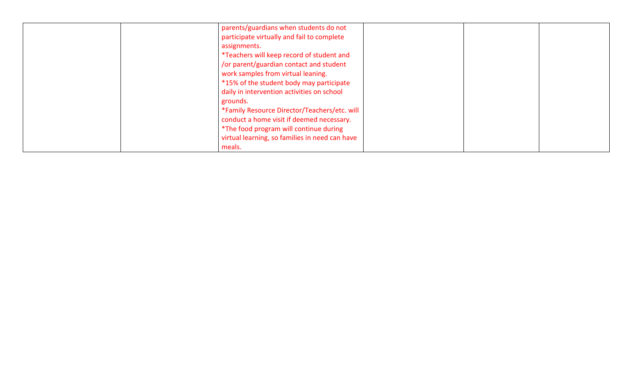| parents/guardians when students do not         |
|------------------------------------------------|
| participate virtually and fail to complete     |
| assignments.                                   |
| *Teachers will keep record of student and      |
| /or parent/guardian contact and student        |
| work samples from virtual leaning.             |
| *15% of the student body may participate       |
| daily in intervention activities on school     |
| grounds.                                       |
| *Family Resource Director/Teachers/etc. will   |
| conduct a home visit if deemed necessary.      |
| *The food program will continue during         |
| virtual learning, so families in need can have |
| meals.                                         |